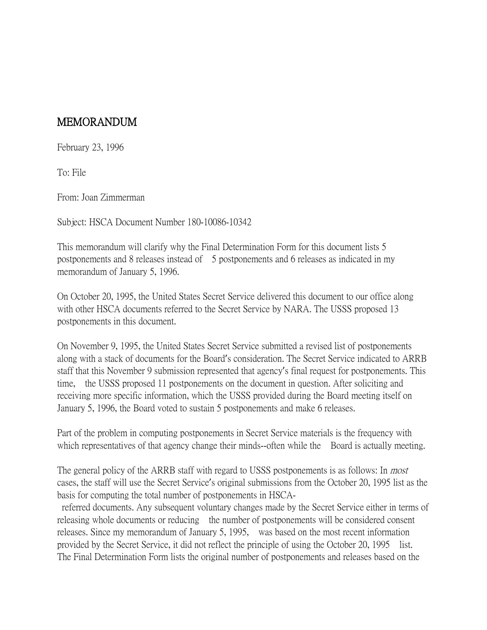## MEMORANDUM

February 23, 1996

To: File

From: Joan Zimmerman

Subject: HSCA Document Number 180-10086-10342

This memorandum will clarify why the Final Determination Form for this document lists 5 postponements and 8 releases instead of 5 postponements and 6 releases as indicated in my memorandum of January 5, 1996.

On October 20, 1995, the United States Secret Service delivered this document to our office along with other HSCA documents referred to the Secret Service by NARA. The USSS proposed 13 postponements in this document.

On November 9, 1995, the United States Secret Service submitted a revised list of postponements along with a stack of documents for the Board's consideration. The Secret Service indicated to ARRB staff that this November 9 submission represented that agency's final request for postponements. This time, the USSS proposed 11 postponements on the document in question. After soliciting and receiving more specific information, which the USSS provided during the Board meeting itself on January 5, 1996, the Board voted to sustain 5 postponements and make 6 releases.

Part of the problem in computing postponements in Secret Service materials is the frequency with which representatives of that agency change their minds--often while the Board is actually meeting.

The general policy of the ARRB staff with regard to USSS postponements is as follows: In *most* cases, the staff will use the Secret Service's original submissions from the October 20, 1995 list as the basis for computing the total number of postponements in HSCA-

referred documents. Any subsequent voluntary changes made by the Secret Service either in terms of releasing whole documents or reducing the number of postponements will be considered consent releases. Since my memorandum of January 5, 1995, was based on the most recent information provided by the Secret Service, it did not reflect the principle of using the October 20, 1995 list. The Final Determination Form lists the original number of postponements and releases based on the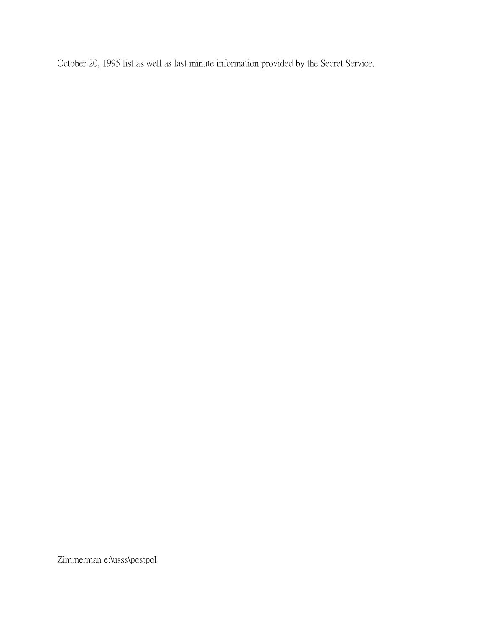October 20, 1995 list as well as last minute information provided by the Secret Service.

Zimmerman e:\usss\postpol